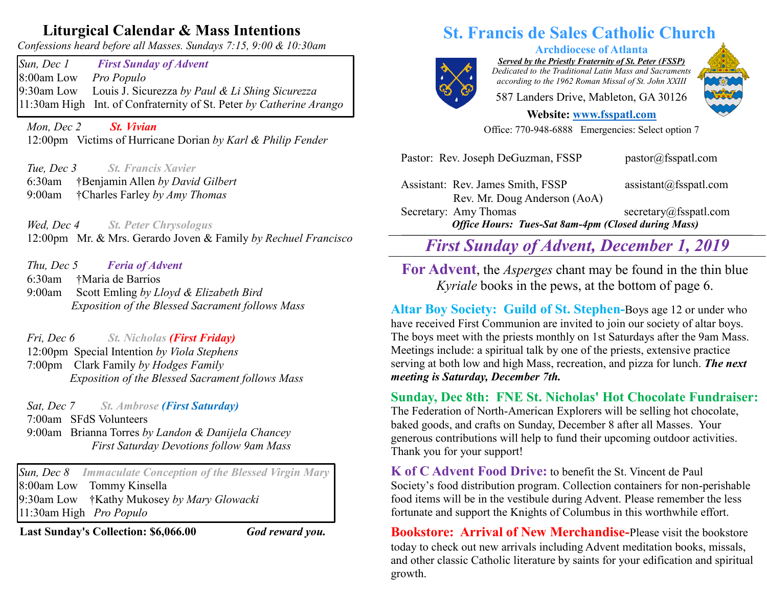## **Liturgical Calendar & Mass Intentions**

*Confessions heard before all Masses. Sundays 7:15, 9:00 & 10:30am*

*Sun, Dec 1 First Sunday of Advent*  8:00am Low *Pro Populo* 9:30am Low Louis J. Sicurezza *by Paul & Li Shing Sicurezza* 11:30am High Int. of Confraternity of St. Peter *by Catherine Arango*

 *Mon, Dec 2 St. Vivian* 12:00pm Victims of Hurricane Dorian *by Karl & Philip Fender* 

 *Tue, Dec 3 St. Francis Xavier*  6:30am †Benjamin Allen *by David Gilbert* 9:00am †Charles Farley *by Amy Thomas*

 *Wed, Dec 4 St. Peter Chrysologus* 12:00pm Mr. & Mrs. Gerardo Joven & Family *by Rechuel Francisco*

 *Thu, Dec 5 Feria of Advent* 6:30am †Maria de Barrios 9:00am Scott Emling *by Lloyd & Elizabeth Bird Exposition of the Blessed Sacrament follows Mass*

 *Fri, Dec 6 St. Nicholas (First Friday)* 12:00pm Special Intention *by Viola Stephens* 7:00pm Clark Family *by Hodges Family Exposition of the Blessed Sacrament follows Mass*

*Sat, Dec 7 St. Ambrose (First Saturday)*

7:00am SFdS Volunteers 9:00am Brianna Torres *by Landon & Danijela Chancey First Saturday Devotions follow 9am Mass*

*Sun, Dec 8 Immaculate Conception of the Blessed Virgin Mary* 8:00am Low Tommy Kinsella 9:30am Low †Kathy Mukosey *by Mary Glowacki* 11:30am High *Pro Populo* 

**Last Sunday's Collection: \$6,066.00** *God reward you.*

# **St. Francis de Sales Catholic Church**



*Served by the Priestly Fraternity of St. Peter (FSSP) Dedicated to the Traditional Latin Mass and Sacraments according to the 1962 Roman Missal of St. John XXIII*

**Archdiocese of Atlanta**

587 Landers Drive, Mableton, GA 30126

**Website: [www.fsspatl.com](http://www.fsspatl.com/)**

Office: 770-948-6888 Emergencies: Select option 7

Pastor: Rev. Joseph DeGuzman, FSSP pastor@fsspatl.com

Assistant: Rev. James Smith, FSSP assistant@fsspatl.com Rev. Mr. Doug Anderson (AoA)

Secretary: Amy Thomas secretary@fsspatl.com *Office Hours: Tues-Sat 8am-4pm (Closed during Mass)* **\_\_\_\_\_\_\_\_\_\_\_\_\_\_\_\_\_\_\_\_\_\_\_\_\_\_\_\_\_\_\_\_\_\_\_\_\_\_\_\_\_\_\_\_\_\_\_\_\_\_\_\_\_\_\_\_\_\_\_\_\_\_\_\_\_\_\_\_\_\_\_\_\_\_\_\_\_\_\_\_\_\_\_\_\_\_\_\_\_\_\_\_\_\_\_\_\_\_\_\_\_\_\_\_\_\_\_\_\_\_\_\_\_\_\_\_\_\_\_\_\_**

*First Sunday of Advent, December 1, 2019* **T H Suntary by** Auvent, December 1, 2017

**For Advent**, the *Asperges* chant may be found in the thin blue *Kyriale* books in the pews, at the bottom of page 6.

**Altar Boy Society: Guild of St. Stephen-**Boys age 12 or under who have received First Communion are invited to join our society of altar boys. The boys meet with the priests monthly on 1st Saturdays after the 9am Mass. Meetings include: a spiritual talk by one of the priests, extensive practice serving at both low and high Mass, recreation, and pizza for lunch. *The next meeting is Saturday, December 7th.* 

**Sunday, Dec 8th: FNE St. Nicholas' Hot Chocolate Fundraiser:**  The Federation of North-American Explorers will be selling hot chocolate, baked goods, and crafts on Sunday, December 8 after all Masses. Your generous contributions will help to fund their upcoming outdoor activities. Thank you for your support!

**K of C Advent Food Drive:** to benefit the St. Vincent de Paul Society's food distribution program. Collection containers for non-perishable food items will be in the vestibule during Advent. Please remember the less fortunate and support the Knights of Columbus in this worthwhile effort.

**Bookstore: Arrival of New Merchandise-**Please visit the bookstore today to check out new arrivals including Advent meditation books, missals, and other classic Catholic literature by saints for your edification and spiritual growth.